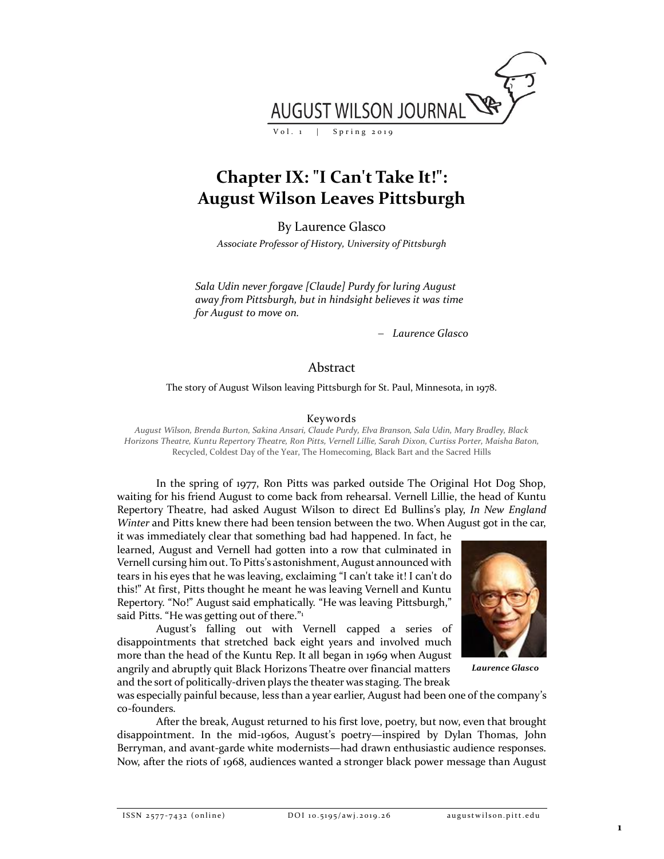

# **Chapter IX: "I Can't Take It!": August Wilson Leaves Pittsburgh**

By Laurence Glasco

*Associate Professor of History, University of Pittsburgh*

*Sala Udin never forgave [Claude] Purdy for luring August away from Pittsburgh, but in hindsight believes it was time for August to move on.*

− *Laurence Glasco*

# Abstract

The story of August Wilson leaving Pittsburgh for St. Paul, Minnesota, in 1978.

# Keywords

*August Wilson, Brenda Burton, Sakina Ansari, Claude Purdy, Elva Branson, Sala Udin, Mary Bradley, Black Horizons Theatre, Kuntu Repertory Theatre, Ron Pitts, Vernell Lillie, Sarah Dixon, Curtiss Porter, Maisha Baton,*  Recycled, Coldest Day of the Year, The Homecoming, Black Bart and the Sacred Hills

In the spring of 1977, Ron Pitts was parked outside The Original Hot Dog Shop, waiting for his friend August to come back from rehearsal*.* Vernell Lillie, the head of Kuntu Repertory Theatre, had asked August Wilson to direct Ed Bullins's play, *In New England Winter* and Pitts knew there had been tension between the two. When August got in the car,

it was immediately clear that something bad had happened. In fact, he learned, August and Vernell had gotten into a row that culminated in Vernell cursing him out. To Pitts's astonishment, August announced with tears in his eyes that he was leaving, exclaiming "I can't take it! I can't do this!" At first, Pitts thought he meant he was leaving Vernell and Kuntu Repertory. "No!" August said emphatically. "He was leaving Pittsburgh," said Pitts. "He was getting out of there."<sup>1</sup>

August's falling out with Vernell capped a series of disappointments that stretched back eight years and involved much more than the head of the Kuntu Rep. It all began in 1969 when August angrily and abruptly quit Black Horizons Theatre over financial matters and the sort of politically-driven plays the theater was staging. The break



*Laurence Glasco*

was especially painful because, less than a year earlier, August had been one of the company's co-founders.

After the break, August returned to his first love, poetry, but now, even that brought disappointment. In the mid-1960s, August's poetry—inspired by Dylan Thomas, John Berryman, and avant-garde white modernists—had drawn enthusiastic audience responses. Now, after the riots of 1968, audiences wanted a stronger black power message than August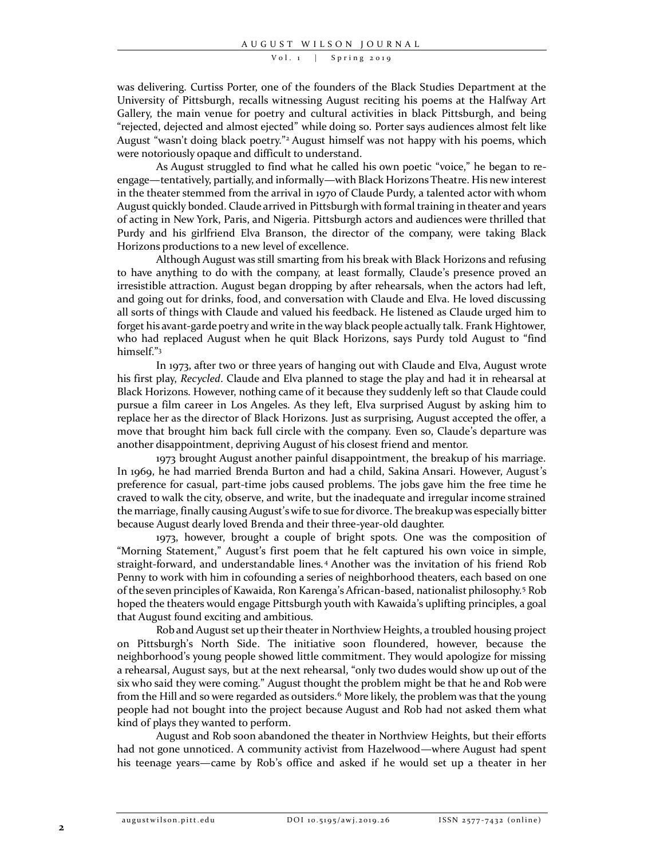was delivering. Curtiss Porter, one of the founders of the Black Studies Department at the University of Pittsburgh, recalls witnessing August reciting his poems at the Halfway Art Gallery, the main venue for poetry and cultural activities in black Pittsburgh, and being "rejected, dejected and almost ejected" while doing so. Porter says audiences almost felt like August "wasn't doing black poetry." <sup>2</sup> August himself was not happy with his poems, which were notoriously opaque and difficult to understand.

As August struggled to find what he called his own poetic "voice," he began to reengage—tentatively, partially, and informally—with Black Horizons Theatre. His new interest in the theater stemmed from the arrival in 1970 of Claude Purdy, a talented actor with whom August quickly bonded. Claude arrived in Pittsburgh with formal training in theater and years of acting in New York, Paris, and Nigeria. Pittsburgh actors and audiences were thrilled that Purdy and his girlfriend Elva Branson, the director of the company, were taking Black Horizons productions to a new level of excellence.

Although August was still smarting from his break with Black Horizons and refusing to have anything to do with the company, at least formally, Claude's presence proved an irresistible attraction. August began dropping by after rehearsals, when the actors had left, and going out for drinks, food, and conversation with Claude and Elva. He loved discussing all sorts of things with Claude and valued his feedback. He listened as Claude urged him to forget his avant-garde poetry and write in the way black people actually talk. Frank Hightower, who had replaced August when he quit Black Horizons, says Purdy told August to "find himself." 3

In 1973, after two or three years of hanging out with Claude and Elva, August wrote his first play, *Recycled*. Claude and Elva planned to stage the play and had it in rehearsal at Black Horizons. However, nothing came of it because they suddenly left so that Claude could pursue a film career in Los Angeles. As they left, Elva surprised August by asking him to replace her as the director of Black Horizons. Just as surprising, August accepted the offer, a move that brought him back full circle with the company. Even so, Claude's departure was another disappointment, depriving August of his closest friend and mentor.

1973 brought August another painful disappointment, the breakup of his marriage. In 1969, he had married Brenda Burton and had a child, Sakina Ansari. However, August's preference for casual, part-time jobs caused problems. The jobs gave him the free time he craved to walk the city, observe, and write, but the inadequate and irregular income strained the marriage, finally causing August's wife to sue for divorce. The breakup was especially bitter because August dearly loved Brenda and their three-year-old daughter.

1973, however, brought a couple of bright spots. One was the composition of "Morning Statement," August's first poem that he felt captured his own voice in simple, straight-forward, and understandable lines. <sup>4</sup> Another was the invitation of his friend Rob Penny to work with him in cofounding a series of neighborhood theaters, each based on one of the seven principles of Kawaida, Ron Karenga's African-based, nationalist philosophy.<sup>5</sup> Rob hoped the theaters would engage Pittsburgh youth with Kawaida's uplifting principles, a goal that August found exciting and ambitious.

Rob and August set up their theater in Northview Heights, a troubled housing project on Pittsburgh's North Side. The initiative soon floundered, however, because the neighborhood's young people showed little commitment. They would apologize for missing a rehearsal, August says, but at the next rehearsal, "only two dudes would show up out of the six who said they were coming." August thought the problem might be that he and Rob were from the Hill and so were regarded as outsiders.<sup>6</sup> More likely, the problem was that the young people had not bought into the project because August and Rob had not asked them what kind of plays they wanted to perform.

August and Rob soon abandoned the theater in Northview Heights, but their efforts had not gone unnoticed. A community activist from Hazelwood—where August had spent his teenage years—came by Rob's office and asked if he would set up a theater in her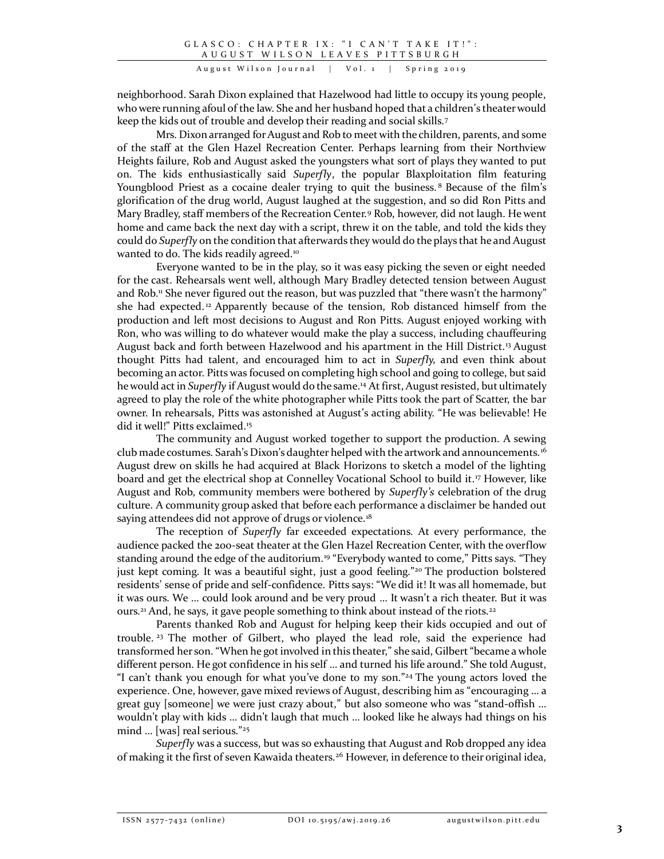neighborhood. Sarah Dixon explained that Hazelwood had little to occupy its young people, who were running afoul of the law. She and her husband hoped that a children's theater would keep the kids out of trouble and develop their reading and social skills.<sup>7</sup>

Mrs. Dixon arranged for August and Rob to meet with the children, parents, and some of the staff at the Glen Hazel Recreation Center. Perhaps learning from their Northview Heights failure, Rob and August asked the youngsters what sort of plays they wanted to put on. The kids enthusiastically said *Superfly*, the popular Blaxploitation film featuring Youngblood Priest as a cocaine dealer trying to quit the business.<sup>8</sup> Because of the film's glorification of the drug world, August laughed at the suggestion, and so did Ron Pitts and Mary Bradley, staff members of the Recreation Center.<sup>9</sup> Rob, however, did not laugh. He went home and came back the next day with a script, threw it on the table, and told the kids they could do *Superfly* on the condition that afterwards they would do the plays that he and August wanted to do. The kids readily agreed.<sup>10</sup>

Everyone wanted to be in the play, so it was easy picking the seven or eight needed for the cast. Rehearsals went well, although Mary Bradley detected tension between August and Rob.<sup>11</sup> She never figured out the reason, but was puzzled that "there wasn't the harmony" she had expected.<sup>12</sup> Apparently because of the tension, Rob distanced himself from the production and left most decisions to August and Ron Pitts. August enjoyed working with Ron, who was willing to do whatever would make the play a success, including chauffeuring August back and forth between Hazelwood and his apartment in the Hill District.<sup>13</sup> August thought Pitts had talent, and encouraged him to act in *Superfly,* and even think about becoming an actor. Pitts was focused on completing high school and going to college, but said he would act in *Superfly* if August would do the same.<sup>14</sup> At first, August resisted, but ultimately agreed to play the role of the white photographer while Pitts took the part of Scatter, the bar owner. In rehearsals, Pitts was astonished at August's acting ability. "He was believable! He did it well!" Pitts exclaimed.<sup>15</sup>

The community and August worked together to support the production. A sewing club made costumes. Sarah's Dixon's daughter helped with the artwork and announcements.<sup>16</sup> August drew on skills he had acquired at Black Horizons to sketch a model of the lighting board and get the electrical shop at Connelley Vocational School to build it.<sup>17</sup> However, like August and Rob, community members were bothered by *Superfly's* celebration of the drug culture. A community group asked that before each performance a disclaimer be handed out saying attendees did not approve of drugs or violence.<sup>18</sup>

The reception of *Superfly* far exceeded expectations. At every performance, the audience packed the 200-seat theater at the Glen Hazel Recreation Center, with the overflow standing around the edge of the auditorium.<sup>19</sup> "Everybody wanted to come," Pitts says. "They just kept coming. It was a beautiful sight, just a good feeling." 20 The production bolstered residents' sense of pride and self-confidence. Pitts says: "We did it! It was all homemade, but it was ours. We … could look around and be very proud … It wasn't a rich theater. But it was ours.<sup>21</sup> And, he says, it gave people something to think about instead of the riots.<sup>22</sup>

Parents thanked Rob and August for helping keep their kids occupied and out of trouble. 23 The mother of Gilbert, who played the lead role, said the experience had transformed her son. "When he got involved in this theater," she said, Gilbert "became a whole different person. He got confidence in his self … and turned his life around." She told August, "I can't thank you enough for what you've done to my son."<sup>24</sup> The young actors loved the experience. One, however, gave mixed reviews of August, describing him as "encouraging … a great guy [someone] we were just crazy about," but also someone who was "stand-offish … wouldn't play with kids … didn't laugh that much … looked like he always had things on his mind … [was] real serious." 25

*Superfly* was a success, but was so exhausting that August and Rob dropped any idea of making it the first of seven Kawaida theaters.<sup>26</sup> However, in deference to their original idea,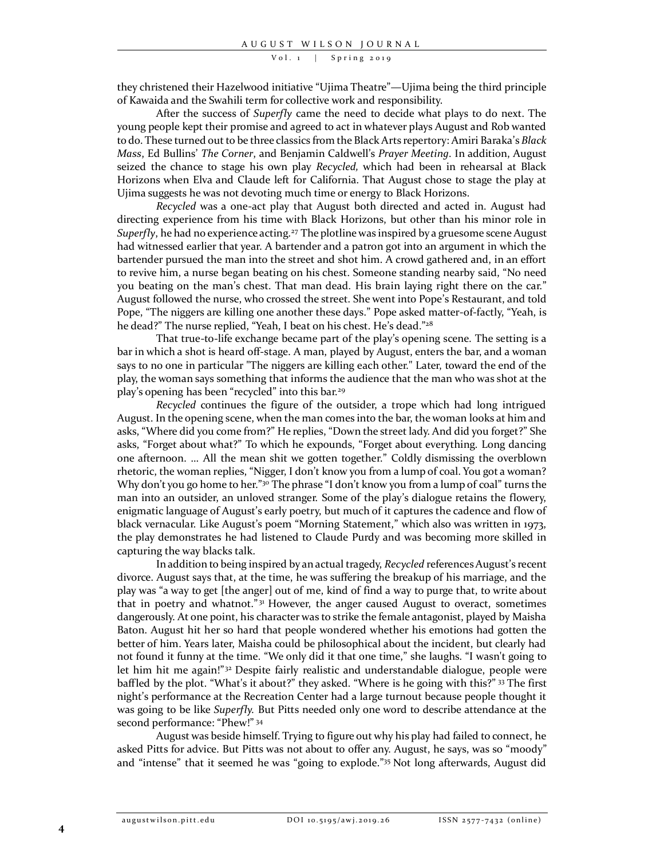they christened their Hazelwood initiative "Ujima Theatre"—Ujima being the third principle of Kawaida and the Swahili term for collective work and responsibility.

After the success of *Superfly* came the need to decide what plays to do next. The young people kept their promise and agreed to act in whatever plays August and Rob wanted to do. These turned out to be three classics from the Black Arts repertory: Amiri Baraka's *Black Mass*, Ed Bullins' *The Corner*, and Benjamin Caldwell's *Prayer Meeting*. In addition, August seized the chance to stage his own play *Recycled,* which had been in rehearsal at Black Horizons when Elva and Claude left for California. That August chose to stage the play at Ujima suggests he was not devoting much time or energy to Black Horizons.

*Recycled* was a one-act play that August both directed and acted in. August had directing experience from his time with Black Horizons, but other than his minor role in Superfly, he had no experience acting.<sup>27</sup> The plotline was inspired by a gruesome scene August had witnessed earlier that year. A bartender and a patron got into an argument in which the bartender pursued the man into the street and shot him. A crowd gathered and, in an effort to revive him, a nurse began beating on his chest. Someone standing nearby said, "No need you beating on the man's chest. That man dead. His brain laying right there on the car." August followed the nurse, who crossed the street. She went into Pope's Restaurant, and told Pope, "The niggers are killing one another these days." Pope asked matter-of-factly, "Yeah, is he dead?" The nurse replied, "Yeah, I beat on his chest. He's dead."<sup>28</sup>

That true-to-life exchange became part of the play's opening scene*.* The setting is a bar in which a shot is heard off-stage. A man, played by August, enters the bar, and a woman says to no one in particular "The niggers are killing each other." Later, toward the end of the play, the woman says something that informs the audience that the man who was shot at the play's opening has been "recycled" into this bar.<sup>29</sup>

*Recycled* continues the figure of the outsider, a trope which had long intrigued August. In the opening scene, when the man comes into the bar, the woman looks at him and asks, "Where did you come from?" He replies, "Down the street lady. And did you forget?" She asks, "Forget about what?" To which he expounds, "Forget about everything. Long dancing one afternoon. … All the mean shit we gotten together." Coldly dismissing the overblown rhetoric, the woman replies, "Nigger, I don't know you from a lump of coal. You got a woman? Why don't you go home to her."<sup>30</sup> The phrase "I don't know you from a lump of coal" turns the man into an outsider, an unloved stranger. Some of the play's dialogue retains the flowery, enigmatic language of August's early poetry, but much of it captures the cadence and flow of black vernacular. Like August's poem "Morning Statement," which also was written in 1973, the play demonstrates he had listened to Claude Purdy and was becoming more skilled in capturing the way blacks talk.

In addition to being inspired by an actual tragedy, *Recycled* references August's recent divorce. August says that, at the time, he was suffering the breakup of his marriage, and the play was "a way to get [the anger] out of me, kind of find a way to purge that, to write about that in poetry and whatnot."<sup>31</sup> However, the anger caused August to overact, sometimes dangerously. At one point, his character was to strike the female antagonist, played by Maisha Baton. August hit her so hard that people wondered whether his emotions had gotten the better of him. Years later, Maisha could be philosophical about the incident, but clearly had not found it funny at the time. "We only did it that one time," she laughs. "I wasn't going to let him hit me again!"<sup>32</sup> Despite fairly realistic and understandable dialogue, people were baffled by the plot. "What's it about?" they asked. "Where is he going with this?" <sup>33</sup> The first night's performance at the Recreation Center had a large turnout because people thought it was going to be like *Superfly.* But Pitts needed only one word to describe attendance at the second performance: "Phew!" 34

August was beside himself. Trying to figure out why his play had failed to connect, he asked Pitts for advice. But Pitts was not about to offer any. August, he says, was so "moody" and "intense" that it seemed he was "going to explode." <sup>35</sup> Not long afterwards, August did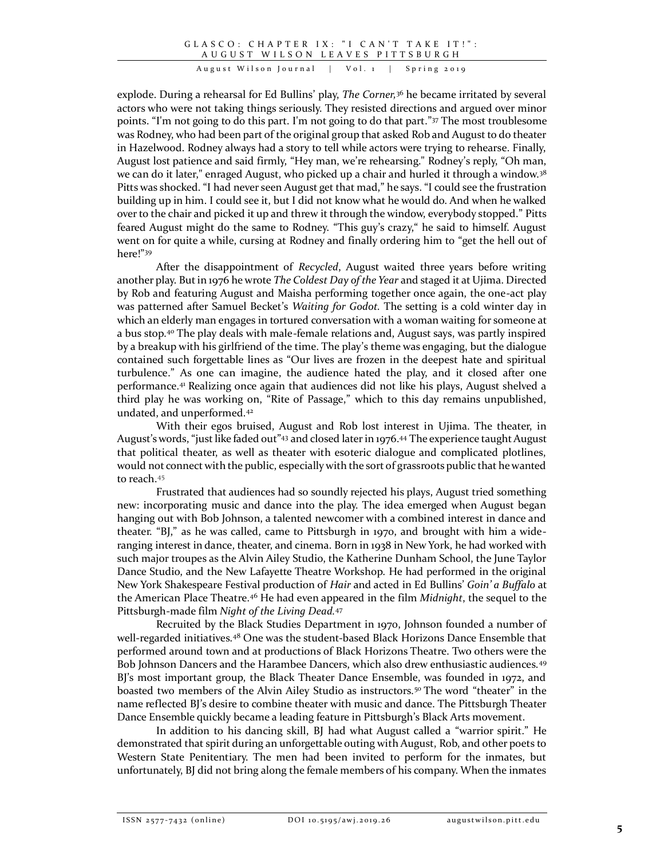explode. During a rehearsal for Ed Bullins' play, *The Corner,*<sup>36</sup> he became irritated by several actors who were not taking things seriously. They resisted directions and argued over minor points. "I'm not going to do this part. I'm not going to do that part." <sup>37</sup> The most troublesome was Rodney, who had been part of the original group that asked Rob and August to do theater in Hazelwood. Rodney always had a story to tell while actors were trying to rehearse. Finally, August lost patience and said firmly, "Hey man, we're rehearsing." Rodney's reply, "Oh man, we can do it later," enraged August, who picked up a chair and hurled it through a window.<sup>38</sup> Pitts was shocked. "I had never seen August get that mad," he says. "I could see the frustration building up in him. I could see it, but I did not know what he would do. And when he walked over to the chair and picked it up and threw it through the window, everybody stopped." Pitts feared August might do the same to Rodney. "This guy's crazy," he said to himself. August went on for quite a while, cursing at Rodney and finally ordering him to "get the hell out of here!" 39

After the disappointment of *Recycled*, August waited three years before writing another play. But in 1976 he wrote *The Coldest Day of the Year* and staged it at Ujima. Directed by Rob and featuring August and Maisha performing together once again, the one-act play was patterned after Samuel Becket's *Waiting for Godot.* The setting is a cold winter day in which an elderly man engages in tortured conversation with a woman waiting for someone at a bus stop.<sup>40</sup> The play deals with male-female relations and, August says, was partly inspired by a breakup with his girlfriend of the time. The play's theme was engaging, but the dialogue contained such forgettable lines as "Our lives are frozen in the deepest hate and spiritual turbulence." As one can imagine, the audience hated the play, and it closed after one performance.<sup>41</sup> Realizing once again that audiences did not like his plays, August shelved a third play he was working on, "Rite of Passage," which to this day remains unpublished, undated, and unperformed.<sup>42</sup>

With their egos bruised, August and Rob lost interest in Ujima. The theater, in August's words, "just like faded out" <sup>43</sup> and closed later in 1976.<sup>44</sup> The experience taught August that political theater, as well as theater with esoteric dialogue and complicated plotlines, would not connect with the public, especially with the sort of grassroots public that he wanted to reach.<sup>45</sup>

Frustrated that audiences had so soundly rejected his plays, August tried something new: incorporating music and dance into the play. The idea emerged when August began hanging out with Bob Johnson, a talented newcomer with a combined interest in dance and theater. "BJ," as he was called, came to Pittsburgh in 1970, and brought with him a wideranging interest in dance, theater, and cinema. Born in 1938 in New York, he had worked with such major troupes as the Alvin Ailey Studio, the Katherine Dunham School, the June Taylor Dance Studio, and the New Lafayette Theatre Workshop. He had performed in the original New York Shakespeare Festival production of *Hair* and acted in Ed Bullins' *Goin' a Buffalo* at the American Place Theatre.<sup>46</sup> He had even appeared in the film *Midnight*, the sequel to the Pittsburgh-made film *Night of the Living Dead.*<sup>47</sup>

Recruited by the Black Studies Department in 1970, Johnson founded a number of well-regarded initiatives.<sup>48</sup> One was the student-based Black Horizons Dance Ensemble that performed around town and at productions of Black Horizons Theatre. Two others were the Bob Johnson Dancers and the Harambee Dancers, which also drew enthusiastic audiences.<sup>49</sup> BJ's most important group, the Black Theater Dance Ensemble, was founded in 1972, and boasted two members of the Alvin Ailey Studio as instructors.<sup>50</sup> The word "theater" in the name reflected BJ's desire to combine theater with music and dance. The Pittsburgh Theater Dance Ensemble quickly became a leading feature in Pittsburgh's Black Arts movement.

In addition to his dancing skill, BJ had what August called a "warrior spirit." He demonstrated that spirit during an unforgettable outing with August, Rob, and other poets to Western State Penitentiary. The men had been invited to perform for the inmates, but unfortunately, BJ did not bring along the female members of his company. When the inmates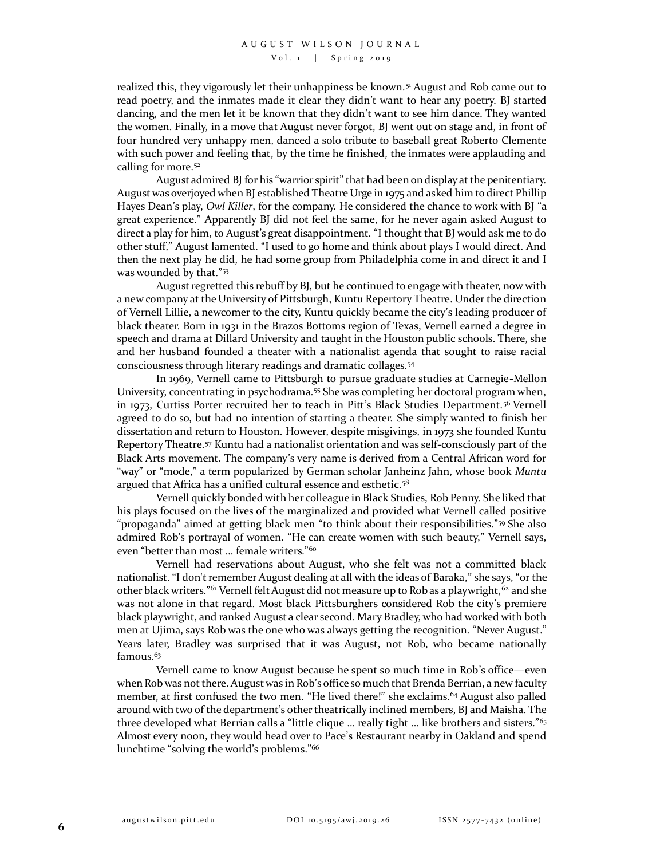realized this, they vigorously let their unhappiness be known.<sup>51</sup> August and Rob came out to read poetry, and the inmates made it clear they didn't want to hear any poetry. BJ started dancing, and the men let it be known that they didn't want to see him dance. They wanted the women. Finally, in a move that August never forgot, BJ went out on stage and, in front of four hundred very unhappy men, danced a solo tribute to baseball great Roberto Clemente with such power and feeling that, by the time he finished, the inmates were applauding and calling for more.<sup>52</sup>

August admired BJ for his "warrior spirit" that had been on display at the penitentiary. August was overjoyed when BJ established Theatre Urge in 1975 and asked him to direct Phillip Hayes Dean's play, *Owl Killer*, for the company. He considered the chance to work with BJ "a great experience." Apparently BJ did not feel the same, for he never again asked August to direct a play for him, to August's great disappointment. "I thought that BJ would ask me to do other stuff," August lamented. "I used to go home and think about plays I would direct. And then the next play he did, he had some group from Philadelphia come in and direct it and I was wounded by that." 53

August regretted this rebuff by BJ, but he continued to engage with theater, now with a new company at the University of Pittsburgh, Kuntu Repertory Theatre. Under the direction of Vernell Lillie, a newcomer to the city, Kuntu quickly became the city's leading producer of black theater. Born in 1931 in the Brazos Bottoms region of Texas, Vernell earned a degree in speech and drama at Dillard University and taught in the Houston public schools. There, she and her husband founded a theater with a nationalist agenda that sought to raise racial consciousness through literary readings and dramatic collages.<sup>54</sup>

In 1969, Vernell came to Pittsburgh to pursue graduate studies at Carnegie-Mellon University, concentrating in psychodrama.<sup>55</sup> She was completing her doctoral program when, in 1973, Curtiss Porter recruited her to teach in Pitt's Black Studies Department.<sup>56</sup> Vernell agreed to do so, but had no intention of starting a theater. She simply wanted to finish her dissertation and return to Houston. However, despite misgivings, in 1973 she founded Kuntu Repertory Theatre.<sup>57</sup> Kuntu had a nationalist orientation and was self-consciously part of the Black Arts movement. The company's very name is derived from a Central African word for "way" or "mode," a term popularized by German scholar Janheinz Jahn, whose book *Muntu* argued that Africa has a unified cultural essence and esthetic.<sup>58</sup>

Vernell quickly bonded with her colleague in Black Studies, Rob Penny. She liked that his plays focused on the lives of the marginalized and provided what Vernell called positive "propaganda" aimed at getting black men "to think about their responsibilities." <sup>59</sup> She also admired Rob's portrayal of women. "He can create women with such beauty," Vernell says, even "better than most … female writers." 60

Vernell had reservations about August, who she felt was not a committed black nationalist. "I don't remember August dealing at all with the ideas of Baraka," she says, "or the other black writers."<sup>61</sup> Vernell felt August did not measure up to Rob as a playwright,<sup>62</sup> and she was not alone in that regard. Most black Pittsburghers considered Rob the city's premiere black playwright, and ranked August a clear second. Mary Bradley, who had worked with both men at Ujima, says Rob was the one who was always getting the recognition. "Never August." Years later, Bradley was surprised that it was August, not Rob, who became nationally famous.<sup>63</sup>

Vernell came to know August because he spent so much time in Rob's office—even when Rob was not there. August was in Rob's office so much that Brenda Berrian, a new faculty member, at first confused the two men. "He lived there!" she exclaims.<sup>64</sup> August also palled around with two of the department's other theatrically inclined members, BJ and Maisha. The three developed what Berrian calls a "little clique … really tight … like brothers and sisters."<sup>65</sup> Almost every noon, they would head over to Pace's Restaurant nearby in Oakland and spend lunchtime "solving the world's problems." 66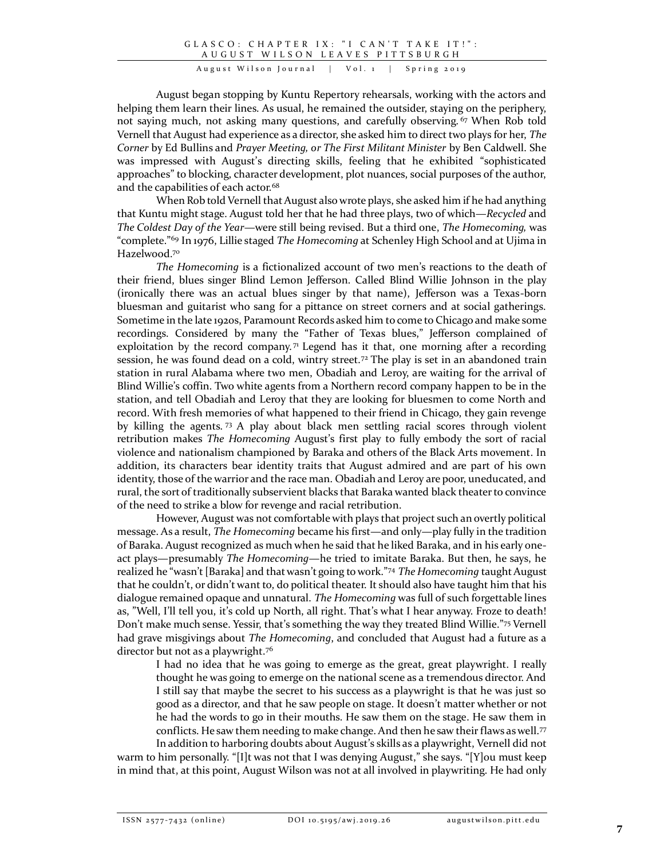August began stopping by Kuntu Repertory rehearsals, working with the actors and helping them learn their lines. As usual, he remained the outsider, staying on the periphery, not saying much, not asking many questions, and carefully observing.<sup>67</sup> When Rob told Vernell that August had experience as a director, she asked him to direct two plays for her, *The Corner* by Ed Bullins and *Prayer Meeting, or The First Militant Minister* by Ben Caldwell. She was impressed with August's directing skills, feeling that he exhibited "sophisticated approaches" to blocking, character development, plot nuances, social purposes of the author, and the capabilities of each actor.<sup>68</sup>

When Rob told Vernell that August also wrote plays, she asked him if he had anything that Kuntu might stage. August told her that he had three plays, two of which—*Recycled* and *The Coldest Day of the Year—*were still being revised. But a third one, *The Homecoming,* was "complete." <sup>69</sup> In 1976, Lillie staged *The Homecoming* at Schenley High School and at Ujima in Hazelwood.<sup>70</sup>

*The Homecoming* is a fictionalized account of two men's reactions to the death of their friend, blues singer Blind Lemon Jefferson. Called Blind Willie Johnson in the play (ironically there was an actual blues singer by that name), Jefferson was a Texas-born bluesman and guitarist who sang for a pittance on street corners and at social gatherings. Sometime in the late 1920s, Paramount Records asked him to come to Chicago and make some recordings. Considered by many the "Father of Texas blues," Jefferson complained of exploitation by the record company.<sup>71</sup> Legend has it that, one morning after a recording session, he was found dead on a cold, wintry street.<sup>72</sup> The play is set in an abandoned train station in rural Alabama where two men, Obadiah and Leroy, are waiting for the arrival of Blind Willie's coffin. Two white agents from a Northern record company happen to be in the station, and tell Obadiah and Leroy that they are looking for bluesmen to come North and record. With fresh memories of what happened to their friend in Chicago, they gain revenge by killing the agents. <sup>73</sup> A play about black men settling racial scores through violent retribution makes *The Homecoming* August's first play to fully embody the sort of racial violence and nationalism championed by Baraka and others of the Black Arts movement. In addition, its characters bear identity traits that August admired and are part of his own identity, those of the warrior and the race man. Obadiah and Leroy are poor, uneducated, and rural, the sort of traditionally subservient blacks that Baraka wanted black theater to convince of the need to strike a blow for revenge and racial retribution.

However, August was not comfortable with plays that project such an overtly political message. As a result, *The Homecoming* became his first—and only—play fully in the tradition of Baraka. August recognized as much when he said that he liked Baraka, and in his early oneact plays—presumably *The Homecoming*—he tried to imitate Baraka. But then, he says, he realized he "wasn't [Baraka] and that wasn't going to work." <sup>74</sup> *The Homecoming* taught August that he couldn't, or didn't want to, do political theater. It should also have taught him that his dialogue remained opaque and unnatural. *The Homecoming* was full of such forgettable lines as, "Well, I'll tell you, it's cold up North, all right. That's what I hear anyway. Froze to death! Don't make much sense. Yessir, that's something the way they treated Blind Willie." <sup>75</sup> Vernell had grave misgivings about *The Homecoming*, and concluded that August had a future as a director but not as a playwright.<sup>76</sup>

I had no idea that he was going to emerge as the great, great playwright. I really thought he was going to emerge on the national scene as a tremendous director. And I still say that maybe the secret to his success as a playwright is that he was just so good as a director, and that he saw people on stage. It doesn't matter whether or not he had the words to go in their mouths. He saw them on the stage. He saw them in conflicts. He saw them needing to make change. And then he saw their flaws as well.<sup>77</sup> In addition to harboring doubts about August's skills as a playwright, Vernell did not

warm to him personally. "[I]t was not that I was denying August," she says. "[Y]ou must keep in mind that, at this point, August Wilson was not at all involved in playwriting. He had only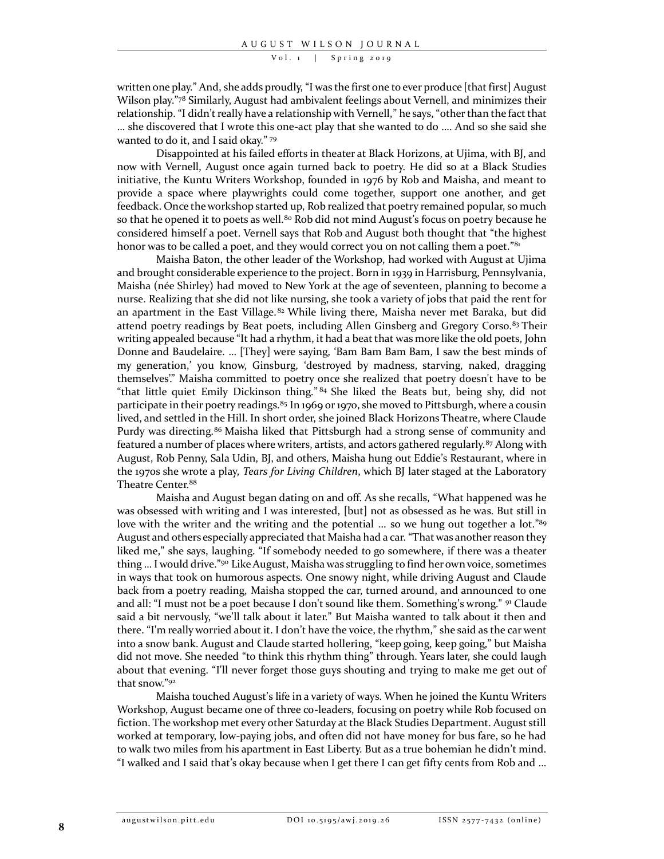written one play." And, she adds proudly, "I was the first one to ever produce [that first] August Wilson play." <sup>78</sup> Similarly, August had ambivalent feelings about Vernell, and minimizes their relationship. "I didn't really have a relationship with Vernell," he says, "other than the fact that … she discovered that I wrote this one-act play that she wanted to do …. And so she said she wanted to do it, and I said okay." 79

Disappointed at his failed efforts in theater at Black Horizons, at Ujima, with BJ, and now with Vernell, August once again turned back to poetry. He did so at a Black Studies initiative, the Kuntu Writers Workshop, founded in 1976 by Rob and Maisha, and meant to provide a space where playwrights could come together, support one another, and get feedback. Once the workshop started up, Rob realized that poetry remained popular, so much so that he opened it to poets as well.<sup>80</sup> Rob did not mind August's focus on poetry because he considered himself a poet. Vernell says that Rob and August both thought that "the highest honor was to be called a poet, and they would correct you on not calling them a poet."<sup>81</sup>

Maisha Baton, the other leader of the Workshop, had worked with August at Ujima and brought considerable experience to the project. Born in 1939 in Harrisburg, Pennsylvania, Maisha (née Shirley) had moved to New York at the age of seventeen, planning to become a nurse. Realizing that she did not like nursing, she took a variety of jobs that paid the rent for an apartment in the East Village.<sup>82</sup> While living there, Maisha never met Baraka, but did attend poetry readings by Beat poets, including Allen Ginsberg and Gregory Corso.<sup>83</sup> Their writing appealed because "It had a rhythm, it had a beat that was more like the old poets, John Donne and Baudelaire. … [They] were saying, 'Bam Bam Bam Bam, I saw the best minds of my generation,' you know, Ginsburg, 'destroyed by madness, starving, naked, dragging themselves'." Maisha committed to poetry once she realized that poetry doesn't have to be "that little quiet Emily Dickinson thing." 84 She liked the Beats but, being shy, did not participate in their poetry readings.<sup>85</sup> In 1969 or 1970, she moved to Pittsburgh, where a cousin lived, and settled in the Hill. In short order, she joined Black Horizons Theatre, where Claude Purdy was directing.<sup>86</sup> Maisha liked that Pittsburgh had a strong sense of community and featured a number of places where writers, artists, and actors gathered regularly.<sup>87</sup> Along with August, Rob Penny, Sala Udin, BJ, and others, Maisha hung out Eddie's Restaurant, where in the 1970s she wrote a play, *Tears for Living Children*, which BJ later staged at the Laboratory Theatre Center.<sup>88</sup>

Maisha and August began dating on and off. As she recalls, "What happened was he was obsessed with writing and I was interested, [but] not as obsessed as he was. But still in love with the writer and the writing and the potential ... so we hung out together a lot."<sup>89</sup> August and others especially appreciated that Maisha had a car. "That was another reason they liked me," she says, laughing. "If somebody needed to go somewhere, if there was a theater thing ... I would drive."<sup>90</sup> Like August, Maisha was struggling to find her own voice, sometimes in ways that took on humorous aspects. One snowy night, while driving August and Claude back from a poetry reading, Maisha stopped the car, turned around, and announced to one and all: "I must not be a poet because I don't sound like them. Something's wrong." <sup>91</sup> Claude said a bit nervously, "we'll talk about it later." But Maisha wanted to talk about it then and there. "I'm really worried about it. I don't have the voice, the rhythm," she said as the car went into a snow bank. August and Claude started hollering, "keep going, keep going," but Maisha did not move. She needed "to think this rhythm thing" through. Years later, she could laugh about that evening. "I'll never forget those guys shouting and trying to make me get out of that snow." 92

Maisha touched August's life in a variety of ways. When he joined the Kuntu Writers Workshop, August became one of three co-leaders, focusing on poetry while Rob focused on fiction. The workshop met every other Saturday at the Black Studies Department. August still worked at temporary, low-paying jobs, and often did not have money for bus fare, so he had to walk two miles from his apartment in East Liberty. But as a true bohemian he didn't mind. "I walked and I said that's okay because when I get there I can get fifty cents from Rob and …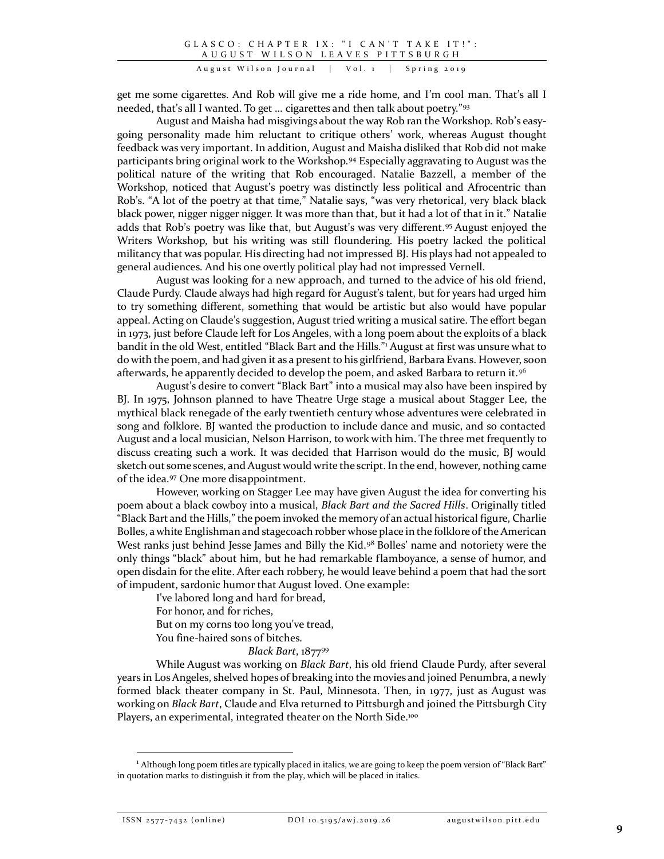get me some cigarettes. And Rob will give me a ride home, and I'm cool man. That's all I needed, that's all I wanted. To get … cigarettes and then talk about poetry." 93

August and Maisha had misgivings about the way Rob ran the Workshop. Rob's easygoing personality made him reluctant to critique others' work, whereas August thought feedback was very important. In addition, August and Maisha disliked that Rob did not make participants bring original work to the Workshop.<sup>94</sup> Especially aggravating to August was the political nature of the writing that Rob encouraged. Natalie Bazzell, a member of the Workshop, noticed that August's poetry was distinctly less political and Afrocentric than Rob's. "A lot of the poetry at that time," Natalie says, "was very rhetorical, very black black black power, nigger nigger nigger. It was more than that, but it had a lot of that in it." Natalie adds that Rob's poetry was like that, but August's was very different.<sup>95</sup> August enjoyed the Writers Workshop, but his writing was still floundering. His poetry lacked the political militancy that was popular. His directing had not impressed BJ. His plays had not appealed to general audiences. And his one overtly political play had not impressed Vernell.

August was looking for a new approach, and turned to the advice of his old friend, Claude Purdy. Claude always had high regard for August's talent, but for years had urged him to try something different, something that would be artistic but also would have popular appeal. Acting on Claude's suggestion, August tried writing a musical satire. The effort began in 1973, just before Claude left for Los Angeles, with a long poem about the exploits of a black bandit in the old West, entitled "Black Bart and the Hills." <sup>1</sup> August at first was unsure what to do with the poem, and had given it as a present to his girlfriend, Barbara Evans. However, soon afterwards, he apparently decided to develop the poem, and asked Barbara to return it.<sup>96</sup>

August's desire to convert "Black Bart" into a musical may also have been inspired by BJ. In 1975, Johnson planned to have Theatre Urge stage a musical about Stagger Lee, the mythical black renegade of the early twentieth century whose adventures were celebrated in song and folklore. BJ wanted the production to include dance and music, and so contacted August and a local musician, Nelson Harrison, to work with him. The three met frequently to discuss creating such a work. It was decided that Harrison would do the music, BJ would sketch out some scenes, and August would write the script. In the end, however, nothing came of the idea.<sup>97</sup> One more disappointment.

However, working on Stagger Lee may have given August the idea for converting his poem about a black cowboy into a musical, *Black Bart and the Sacred Hills*. Originally titled "Black Bart and the Hills," the poem invoked the memory of an actual historical figure, Charlie Bolles, a white Englishman and stagecoach robber whose place in the folklore of the American West ranks just behind Jesse James and Billy the Kid.<sup>98</sup> Bolles' name and notoriety were the only things "black" about him, but he had remarkable flamboyance, a sense of humor, and open disdain for the elite. After each robbery, he would leave behind a poem that had the sort of impudent, sardonic humor that August loved. One example:

I've labored long and hard for bread, For honor, and for riches, But on my corns too long you've tread, You fine-haired sons of bitches.

# *Black Bart*, 1877<sup>99</sup>

While August was working on *Black Bart*, his old friend Claude Purdy, after several years in Los Angeles, shelved hopes of breaking into the movies and joined Penumbra, a newly formed black theater company in St. Paul, Minnesota. Then, in 1977, just as August was working on *Black Bart*, Claude and Elva returned to Pittsburgh and joined the Pittsburgh City Players, an experimental, integrated theater on the North Side.<sup>100</sup>

 $\overline{a}$ 

<sup>&</sup>lt;sup>1</sup> Although long poem titles are typically placed in italics, we are going to keep the poem version of "Black Bart" in quotation marks to distinguish it from the play, which will be placed in italics.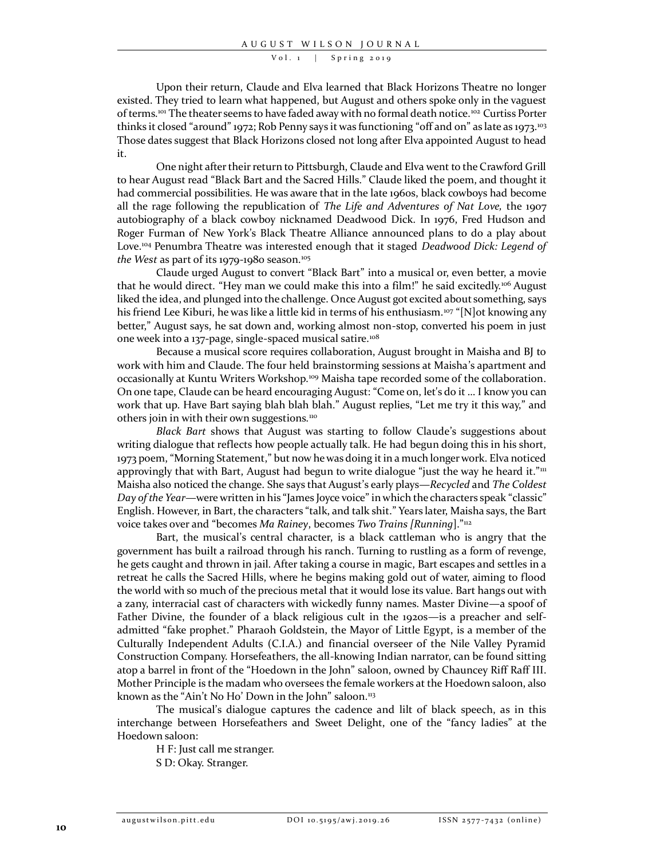Upon their return, Claude and Elva learned that Black Horizons Theatre no longer existed. They tried to learn what happened, but August and others spoke only in the vaguest of terms.<sup>101</sup> The theater seems to have faded away with no formal death notice.<sup>102</sup> Curtiss Porter thinks it closed "around" 1972; Rob Penny says it was functioning "off and on" as late as 1973.<sup>103</sup> Those dates suggest that Black Horizons closed not long after Elva appointed August to head it.

One night after their return to Pittsburgh, Claude and Elva went to the Crawford Grill to hear August read "Black Bart and the Sacred Hills." Claude liked the poem, and thought it had commercial possibilities. He was aware that in the late 1960s, black cowboys had become all the rage following the republication of *The Life and Adventures of Nat Love,* the 1907 autobiography of a black cowboy nicknamed Deadwood Dick. In 1976, Fred Hudson and Roger Furman of New York's Black Theatre Alliance announced plans to do a play about Love.<sup>104</sup> Penumbra Theatre was interested enough that it staged *Deadwood Dick: Legend of*  the West as part of its 1979-1980 season.<sup>105</sup>

Claude urged August to convert "Black Bart" into a musical or, even better, a movie that he would direct. "Hey man we could make this into a film!" he said excitedly.<sup>106</sup> August liked the idea, and plunged into the challenge. Once August got excited about something, says his friend Lee Kiburi, he was like a little kid in terms of his enthusiasm.<sup>107</sup> "[N]ot knowing any better," August says, he sat down and, working almost non-stop, converted his poem in just one week into a 137-page, single-spaced musical satire.<sup>108</sup>

Because a musical score requires collaboration, August brought in Maisha and BJ to work with him and Claude. The four held brainstorming sessions at Maisha's apartment and occasionally at Kuntu Writers Workshop.<sup>109</sup> Maisha tape recorded some of the collaboration. On one tape, Claude can be heard encouraging August: "Come on, let's do it … I know you can work that up. Have Bart saying blah blah blah." August replies, "Let me try it this way," and others join in with their own suggestions.<sup>110</sup>

*Black Bart* shows that August was starting to follow Claude's suggestions about writing dialogue that reflects how people actually talk. He had begun doing this in his short, 1973 poem, "Morning Statement," but now he was doing it in a much longer work. Elva noticed approvingly that with Bart, August had begun to write dialogue "just the way he heard it."<sup>III</sup> Maisha also noticed the change. She says that August's early plays—*Recycled* and *The Coldest Day of the Year*—were written in his "James Joyce voice" in which the characters speak "classic" English. However, in Bart, the characters "talk, and talk shit." Years later, Maisha says, the Bart voice takes over and "becomes *Ma Rainey*, becomes *Two Trains [Running*]." 112

Bart, the musical's central character, is a black cattleman who is angry that the government has built a railroad through his ranch. Turning to rustling as a form of revenge, he gets caught and thrown in jail. After taking a course in magic, Bart escapes and settles in a retreat he calls the Sacred Hills, where he begins making gold out of water, aiming to flood the world with so much of the precious metal that it would lose its value. Bart hangs out with a zany, interracial cast of characters with wickedly funny names. Master Divine—a spoof of Father Divine, the founder of a black religious cult in the 1920s—is a preacher and selfadmitted "fake prophet." Pharaoh Goldstein, the Mayor of Little Egypt, is a member of the Culturally Independent Adults (C.I.A.) and financial overseer of the Nile Valley Pyramid Construction Company. Horsefeathers, the all-knowing Indian narrator, can be found sitting atop a barrel in front of the "Hoedown in the John" saloon, owned by Chauncey Riff Raff III. Mother Principle is the madam who oversees the female workers at the Hoedown saloon, also known as the "Ain't No Ho' Down in the John" saloon.<sup>113</sup>

The musical's dialogue captures the cadence and lilt of black speech, as in this interchange between Horsefeathers and Sweet Delight, one of the "fancy ladies" at the Hoedown saloon:

H F: Just call me stranger.

S D: Okay. Stranger.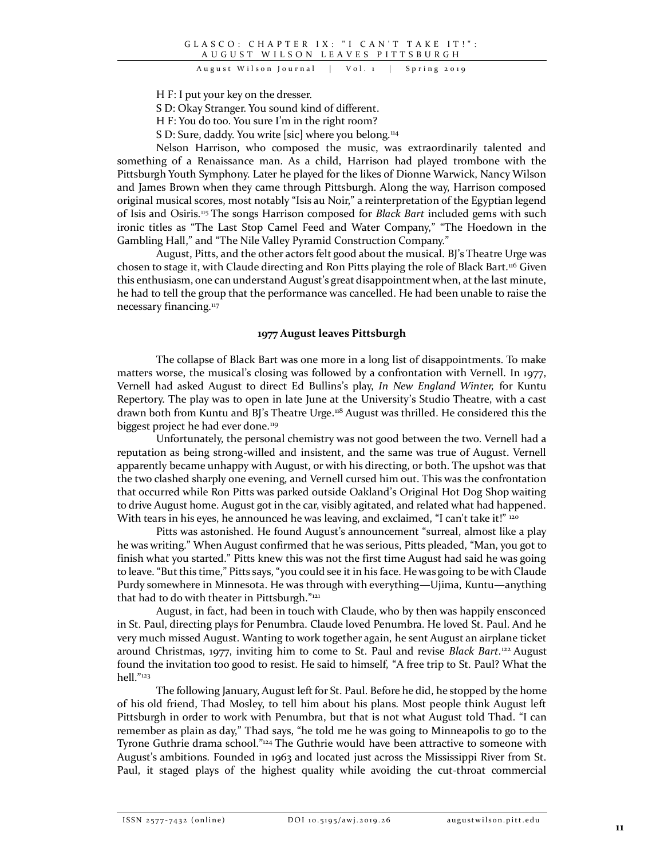H F: I put your key on the dresser.

S D: Okay Stranger. You sound kind of different.

H F: You do too. You sure I'm in the right room?

S D: Sure, daddy. You write [sic] where you belong.<sup>114</sup>

Nelson Harrison, who composed the music, was extraordinarily talented and something of a Renaissance man. As a child, Harrison had played trombone with the Pittsburgh Youth Symphony. Later he played for the likes of Dionne Warwick, Nancy Wilson and James Brown when they came through Pittsburgh. Along the way, Harrison composed original musical scores, most notably "Isis au Noir," a reinterpretation of the Egyptian legend of Isis and Osiris.<sup>115</sup> The songs Harrison composed for *Black Bart* included gems with such ironic titles as "The Last Stop Camel Feed and Water Company," "The Hoedown in the Gambling Hall," and "The Nile Valley Pyramid Construction Company."

August, Pitts, and the other actors felt good about the musical. BJ's Theatre Urge was chosen to stage it, with Claude directing and Ron Pitts playing the role of Black Bart.<sup>116</sup> Given this enthusiasm, one can understand August's great disappointment when, at the last minute, he had to tell the group that the performance was cancelled. He had been unable to raise the necessary financing.<sup>117</sup>

# **1977 August leaves Pittsburgh**

The collapse of Black Bart was one more in a long list of disappointments. To make matters worse, the musical's closing was followed by a confrontation with Vernell. In 1977, Vernell had asked August to direct Ed Bullins's play, *In New England Winter,* for Kuntu Repertory. The play was to open in late June at the University's Studio Theatre, with a cast drawn both from Kuntu and BJ's Theatre Urge.<sup>118</sup> August was thrilled. He considered this the biggest project he had ever done.<sup>119</sup>

Unfortunately, the personal chemistry was not good between the two. Vernell had a reputation as being strong-willed and insistent, and the same was true of August. Vernell apparently became unhappy with August, or with his directing, or both. The upshot was that the two clashed sharply one evening, and Vernell cursed him out. This was the confrontation that occurred while Ron Pitts was parked outside Oakland's Original Hot Dog Shop waiting to drive August home. August got in the car, visibly agitated, and related what had happened. With tears in his eyes, he announced he was leaving, and exclaimed, "I can't take it!" 120

Pitts was astonished. He found August's announcement "surreal, almost like a play he was writing." When August confirmed that he was serious, Pitts pleaded, "Man, you got to finish what you started." Pitts knew this was not the first time August had said he was going to leave. "But this time," Pitts says, "you could see it in his face. He was going to be with Claude Purdy somewhere in Minnesota. He was through with everything—Ujima, Kuntu—anything that had to do with theater in Pittsburgh." 121

August, in fact, had been in touch with Claude, who by then was happily ensconced in St. Paul, directing plays for Penumbra. Claude loved Penumbra. He loved St. Paul. And he very much missed August. Wanting to work together again, he sent August an airplane ticket around Christmas, 1977, inviting him to come to St. Paul and revise *Black Bart*.<sup>122</sup> August found the invitation too good to resist. He said to himself, "A free trip to St. Paul? What the hell." 123

The following January, August left for St. Paul. Before he did, he stopped by the home of his old friend, Thad Mosley, to tell him about his plans. Most people think August left Pittsburgh in order to work with Penumbra, but that is not what August told Thad. "I can remember as plain as day," Thad says, "he told me he was going to Minneapolis to go to the Tyrone Guthrie drama school."<sup>124</sup> The Guthrie would have been attractive to someone with August's ambitions. Founded in 1963 and located just across the Mississippi River from St. Paul, it staged plays of the highest quality while avoiding the cut-throat commercial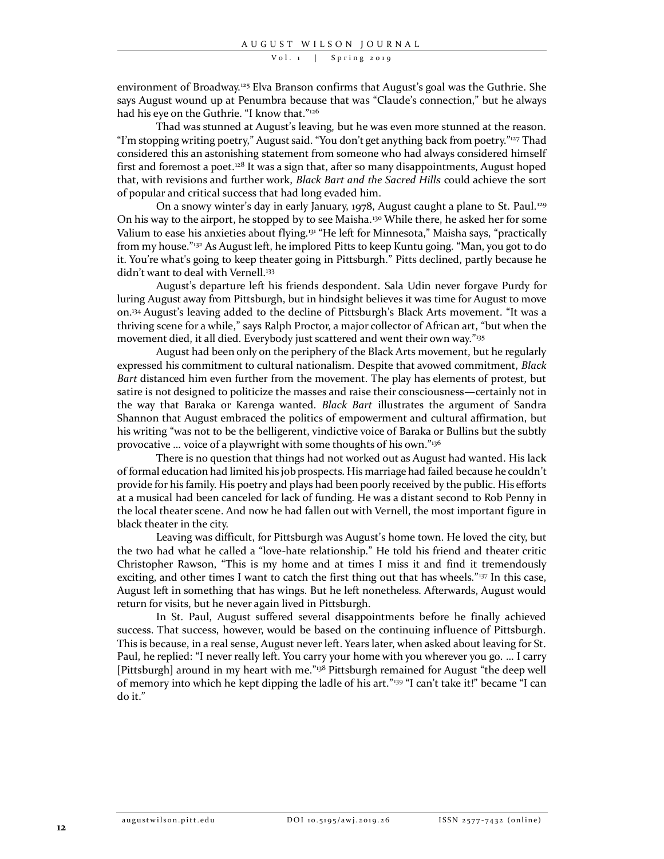environment of Broadway.<sup>125</sup> Elva Branson confirms that August's goal was the Guthrie. She says August wound up at Penumbra because that was "Claude's connection," but he always had his eye on the Guthrie. "I know that." 126

Thad was stunned at August's leaving, but he was even more stunned at the reason. "I'm stopping writing poetry," August said. "You don't get anything back from poetry."<sup>127</sup> Thad considered this an astonishing statement from someone who had always considered himself first and foremost a poet. $128$  It was a sign that, after so many disappointments, August hoped that, with revisions and further work, *Black Bart and the Sacred Hills* could achieve the sort of popular and critical success that had long evaded him.

On a snowy winter's day in early January, 1978, August caught a plane to St. Paul.<sup>129</sup> On his way to the airport, he stopped by to see Maisha.<sup>130</sup> While there, he asked her for some Valium to ease his anxieties about flying.<sup>131</sup> "He left for Minnesota," Maisha says, "practically from my house." <sup>132</sup> As August left, he implored Pitts to keep Kuntu going. "Man, you got to do it. You're what's going to keep theater going in Pittsburgh." Pitts declined, partly because he didn't want to deal with Vernell.<sup>133</sup>

August's departure left his friends despondent. Sala Udin never forgave Purdy for luring August away from Pittsburgh, but in hindsight believes it was time for August to move on.<sup>134</sup> August's leaving added to the decline of Pittsburgh's Black Arts movement. "It was a thriving scene for a while," says Ralph Proctor, a major collector of African art, "but when the movement died, it all died. Everybody just scattered and went their own way."<sup>135</sup>

August had been only on the periphery of the Black Arts movement, but he regularly expressed his commitment to cultural nationalism. Despite that avowed commitment, *Black Bart* distanced him even further from the movement. The play has elements of protest, but satire is not designed to politicize the masses and raise their consciousness—certainly not in the way that Baraka or Karenga wanted. *Black Bart* illustrates the argument of Sandra Shannon that August embraced the politics of empowerment and cultural affirmation, but his writing "was not to be the belligerent, vindictive voice of Baraka or Bullins but the subtly provocative … voice of a playwright with some thoughts of his own." 136

There is no question that things had not worked out as August had wanted. His lack of formal education had limited his job prospects. His marriage had failed because he couldn't provide for his family. His poetry and plays had been poorly received by the public. His efforts at a musical had been canceled for lack of funding. He was a distant second to Rob Penny in the local theater scene. And now he had fallen out with Vernell, the most important figure in black theater in the city.

Leaving was difficult, for Pittsburgh was August's home town. He loved the city, but the two had what he called a "love-hate relationship." He told his friend and theater critic Christopher Rawson, "This is my home and at times I miss it and find it tremendously exciting, and other times I want to catch the first thing out that has wheels."<sup>137</sup> In this case, August left in something that has wings. But he left nonetheless. Afterwards, August would return for visits, but he never again lived in Pittsburgh.

In St. Paul, August suffered several disappointments before he finally achieved success. That success, however, would be based on the continuing influence of Pittsburgh. This is because, in a real sense, August never left. Years later, when asked about leaving for St. Paul, he replied: "I never really left. You carry your home with you wherever you go. … I carry [Pittsburgh] around in my heart with me." <sup>138</sup> Pittsburgh remained for August "the deep well of memory into which he kept dipping the ladle of his art."<sup>139</sup> "I can't take it!" became "I can do it."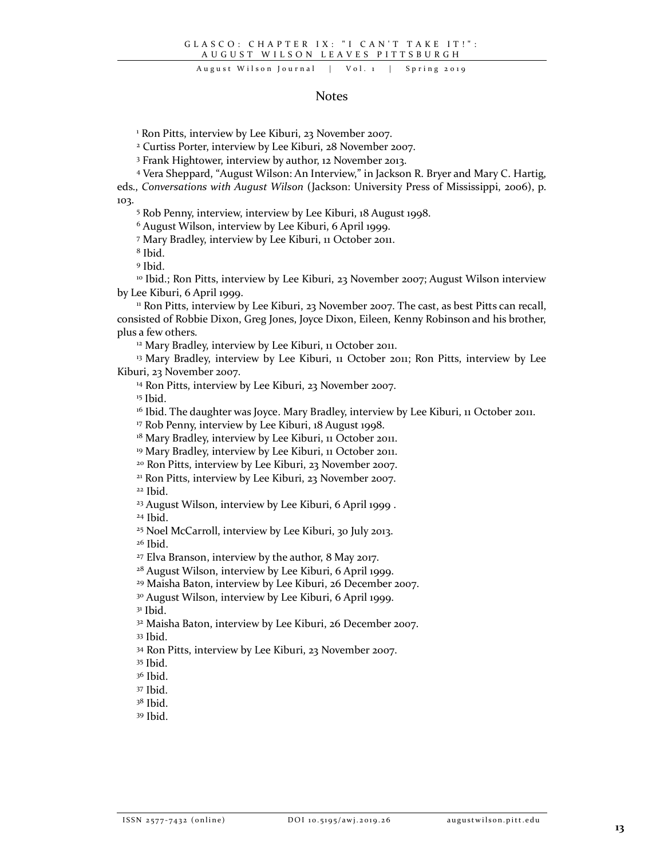## August Wilson Journal | Vol. 1 | Spring 2019

## Notes

Ron Pitts, interview by Lee Kiburi, 23 November 2007.

Curtiss Porter, interview by Lee Kiburi, 28 November 2007.

Frank Hightower, interview by author, 12 November 2013.

Vera Sheppard, "August Wilson: An Interview," in Jackson R. Bryer and Mary C. Hartig,

eds., *Conversations with August Wilson* (Jackson: University Press of Mississippi, 2006), p. 103.

Rob Penny, interview, interview by Lee Kiburi, 18 August 1998.

August Wilson, interview by Lee Kiburi, 6 April 1999.

Mary Bradley, interview by Lee Kiburi, 11 October 2011.

Ibid.

Ibid.

 Ibid.; Ron Pitts, interview by Lee Kiburi, 23 November 2007; August Wilson interview by Lee Kiburi, 6 April 1999.

<sup>11</sup> Ron Pitts, interview by Lee Kiburi, 23 November 2007. The cast, as best Pitts can recall, consisted of Robbie Dixon, Greg Jones, Joyce Dixon, Eileen, Kenny Robinson and his brother, plus a few others.

<sup>12</sup> Mary Bradley, interview by Lee Kiburi, 11 October 2011.

<sup>13</sup> Mary Bradley, interview by Lee Kiburi, 11 October 2011; Ron Pitts, interview by Lee Kiburi, 23 November 2007.

Ron Pitts, interview by Lee Kiburi, 23 November 2007.

Ibid.

<sup>16</sup> Ibid. The daughter was Joyce. Mary Bradley, interview by Lee Kiburi, 11 October 2011.

Rob Penny, interview by Lee Kiburi, 18 August 1998.

<sup>18</sup> Mary Bradley, interview by Lee Kiburi, 11 October 2011.

<sup>19</sup> Mary Bradley, interview by Lee Kiburi, 11 October 2011.

Ron Pitts, interview by Lee Kiburi, 23 November 2007.

Ron Pitts, interview by Lee Kiburi, 23 November 2007.

Ibid.

August Wilson, interview by Lee Kiburi, 6 April 1999 .

Ibid.

Noel McCarroll, interview by Lee Kiburi, 30 July 2013.

Ibid.

Elva Branson, interview by the author, 8 May 2017.

August Wilson, interview by Lee Kiburi, 6 April 1999.

Maisha Baton, interview by Lee Kiburi, 26 December 2007.

August Wilson, interview by Lee Kiburi, 6 April 1999.

Ibid.

 Maisha Baton, interview by Lee Kiburi, 26 December 2007. Ibid.

Ron Pitts, interview by Lee Kiburi, 23 November 2007.

Ibid.

Ibid.

Ibid.

Ibid.

Ibid.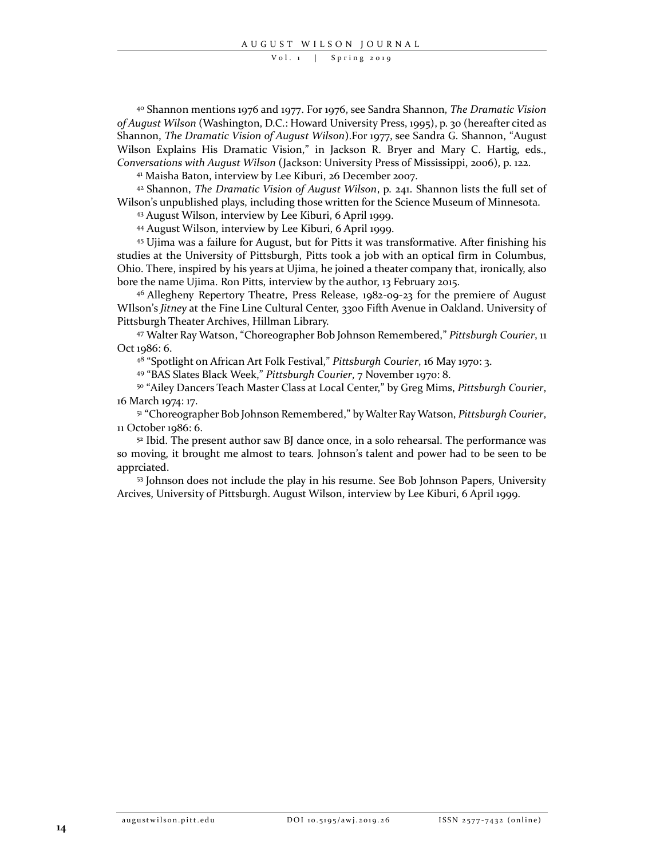<sup>40</sup> Shannon mentions 1976 and 1977. For 1976, see Sandra Shannon, *The Dramatic Vision of August Wilson* (Washington, D.C.: Howard University Press, 1995), p. 30 (hereafter cited as Shannon, *The Dramatic Vision of August Wilson*).For 1977, see Sandra G. Shannon, "August Wilson Explains His Dramatic Vision," in Jackson R. Bryer and Mary C. Hartig, eds., *Conversations with August Wilson* (Jackson: University Press of Mississippi, 2006), p. 122.

<sup>41</sup> Maisha Baton, interview by Lee Kiburi, 26 December 2007.

<sup>42</sup> Shannon, *The Dramatic Vision of August Wilson*, p. 241. Shannon lists the full set of Wilson's unpublished plays, including those written for the Science Museum of Minnesota.

<sup>43</sup> August Wilson, interview by Lee Kiburi, 6 April 1999.

<sup>44</sup> August Wilson, interview by Lee Kiburi, 6 April 1999.

<sup>45</sup> Ujima was a failure for August, but for Pitts it was transformative. After finishing his studies at the University of Pittsburgh, Pitts took a job with an optical firm in Columbus, Ohio. There, inspired by his years at Ujima, he joined a theater company that, ironically, also bore the name Ujima. Ron Pitts, interview by the author, 13 February 2015.

<sup>46</sup> Allegheny Repertory Theatre, Press Release, 1982-09-23 for the premiere of August WIlson's *Jitney* at the Fine Line Cultural Center, 3300 Fifth Avenue in Oakland. University of Pittsburgh Theater Archives, Hillman Library.

<sup>47</sup> Walter Ray Watson, "Choreographer Bob Johnson Remembered," *Pittsburgh Courier*, 11 Oct 1986: 6.

48 "Spotlight on African Art Folk Festival," *Pittsburgh Courier*, 16 May 1970: 3.

49 "BAS Slates Black Week," *Pittsburgh Courier*, 7 November 1970: 8.

50 "Ailey Dancers Teach Master Class at Local Center," by Greg Mims, *Pittsburgh Courier*, 16 March 1974: 17.

51 "Choreographer Bob Johnson Remembered," by Walter Ray Watson, *Pittsburgh Courier*, 11 October 1986: 6.

<sup>52</sup> Ibid. The present author saw BJ dance once, in a solo rehearsal. The performance was so moving, it brought me almost to tears. Johnson's talent and power had to be seen to be apprciated.

<sup>53</sup> Johnson does not include the play in his resume. See Bob Johnson Papers, University Arcives, University of Pittsburgh. August Wilson, interview by Lee Kiburi, 6 April 1999.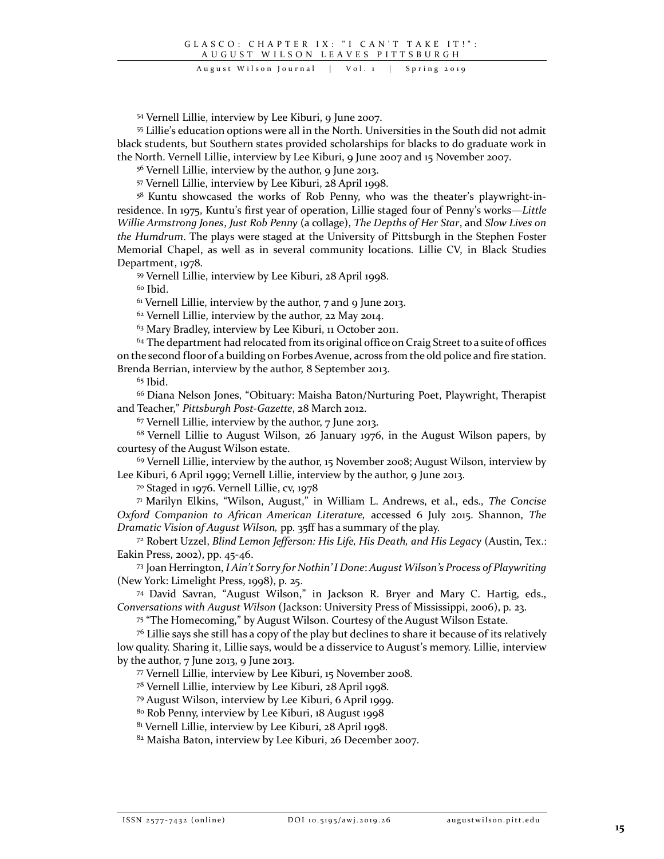August Wilson Journal | Vol. 1 | Spring 2019

<sup>54</sup> Vernell Lillie, interview by Lee Kiburi, 9 June 2007.

<sup>55</sup> Lillie's education options were all in the North. Universities in the South did not admit black students, but Southern states provided scholarships for blacks to do graduate work in the North. Vernell Lillie, interview by Lee Kiburi, 9 June 2007 and 15 November 2007.

<sup>56</sup> Vernell Lillie, interview by the author, 9 June 2013.

<sup>57</sup> Vernell Lillie, interview by Lee Kiburi, 28 April 1998.

58 Kuntu showcased the works of Rob Penny, who was the theater's playwright-inresidence. In 1975, Kuntu's first year of operation, Lillie staged four of Penny's works—*Little Willie Armstrong Jones*, *Just Rob Penny* (a collage), *The Depths of Her Star*, and *Slow Lives on the Humdrum*. The plays were staged at the University of Pittsburgh in the Stephen Foster Memorial Chapel, as well as in several community locations. Lillie CV, in Black Studies Department, 1978.

<sup>59</sup> Vernell Lillie, interview by Lee Kiburi, 28 April 1998.

<sup>60</sup> Ibid.

 $61$  Vernell Lillie, interview by the author, 7 and 9 June 2013.

<sup>62</sup> Vernell Lillie, interview by the author, 22 May 2014.

<sup>63</sup> Mary Bradley, interview by Lee Kiburi, 11 October 2011.

 $64$  The department had relocated from its original office on Craig Street to a suite of offices on the second floor of a building on Forbes Avenue, across from the old police and fire station. Brenda Berrian, interview by the author, 8 September 2013.

 $65$  Ibid.

<sup>66</sup> Diana Nelson Jones, "Obituary: Maisha Baton/Nurturing Poet, Playwright, Therapist and Teacher," *Pittsburgh Post-Gazette*, 28 March 2012.

<sup>67</sup> Vernell Lillie, interview by the author, 7 June 2013.

68 Vernell Lillie to August Wilson, 26 January 1976, in the August Wilson papers, by courtesy of the August Wilson estate.

 $69$  Vernell Lillie, interview by the author, 15 November 2008; August Wilson, interview by Lee Kiburi, 6 April 1999; Vernell Lillie, interview by the author, 9 June 2013.

<sup>70</sup> Staged in 1976. Vernell Lillie, cv, 1978

71 Marilyn Elkins, "Wilson, August," in William L. Andrews, et al., eds., *The Concise Oxford Companion to African American Literature,* accessed 6 July 2015. Shannon, *The Dramatic Vision of August Wilson,* pp. 35ff has a summary of the play.

<sup>72</sup> Robert Uzzel, *Blind Lemon Jefferson: His Life, His Death, and His Legacy* (Austin, Tex.: Eakin Press, 2002), pp. 45-46.

<sup>73</sup> Joan Herrington, *I Ain't Sorry for Nothin' I Done*: *August Wilson's Process of Playwriting* (New York: Limelight Press, 1998), p. 25.

74 David Savran, "August Wilson," in Jackson R. Bryer and Mary C. Hartig, eds., *Conversations with August Wilson* (Jackson: University Press of Mississippi, 2006), p. 23.

75 "The Homecoming," by August Wilson. Courtesy of the August Wilson Estate.

 $76$  Lillie says she still has a copy of the play but declines to share it because of its relatively low quality. Sharing it, Lillie says, would be a disservice to August's memory. Lillie, interview by the author, 7 June 2013, 9 June 2013.

<sup>77</sup> Vernell Lillie, interview by Lee Kiburi, 15 November 2008.

<sup>78</sup> Vernell Lillie, interview by Lee Kiburi, 28 April 1998.

<sup>79</sup> August Wilson, interview by Lee Kiburi, 6 April 1999.

<sup>80</sup> Rob Penny, interview by Lee Kiburi, 18 August 1998

<sup>81</sup> Vernell Lillie, interview by Lee Kiburi, 28 April 1998.

<sup>82</sup> Maisha Baton, interview by Lee Kiburi, 26 December 2007.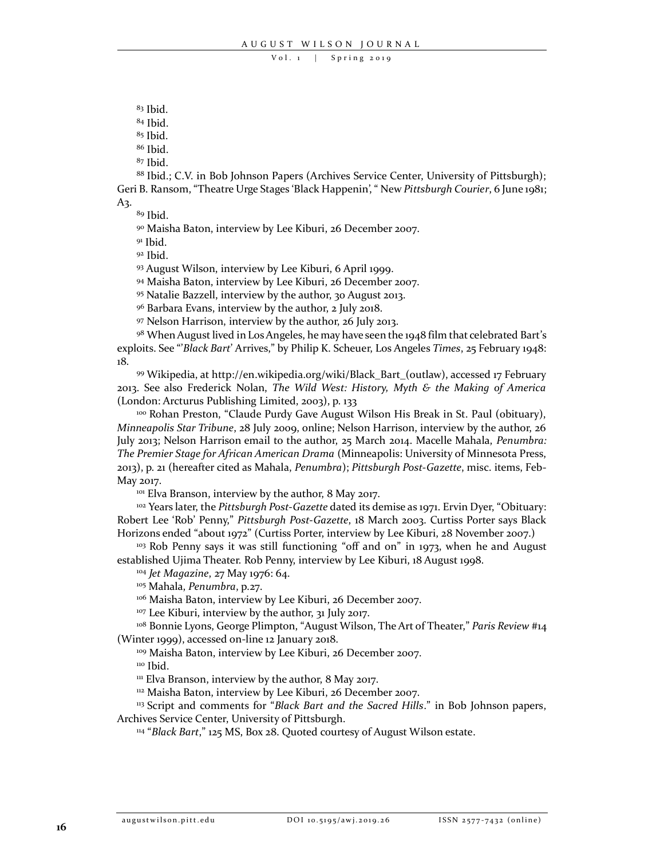$83$  Ibid.

<sup>84</sup> Ibid.

<sup>85</sup> Ibid.

<sup>86</sup> Ibid.

<sup>87</sup> Ibid.

<sup>88</sup> Ibid.; C.V. in Bob Johnson Papers (Archives Service Center, University of Pittsburgh); Geri B. Ransom, "Theatre Urge Stages 'Black Happenin', " New *Pittsburgh Courier*, 6 June 1981; A3.

<sup>89</sup> Ibid.

<sup>90</sup> Maisha Baton, interview by Lee Kiburi, 26 December 2007.

 $91$  Ibid.

<sup>92</sup> Ibid.

<sup>93</sup> August Wilson, interview by Lee Kiburi, 6 April 1999.

<sup>94</sup> Maisha Baton, interview by Lee Kiburi, 26 December 2007.

<sup>95</sup> Natalie Bazzell, interview by the author, 30 August 2013.

<sup>96</sup> Barbara Evans, interview by the author, 2 July 2018.

<sup>97</sup> Nelson Harrison, interview by the author, 26 July 2013.

98 When August lived in Los Angeles, he may have seen the 1948 film that celebrated Bart's exploits. See "'*Black Bart*' Arrives," by Philip K. Scheuer, Los Angeles *Times*, 25 February 1948: 18.

<sup>99</sup> Wikipedia, at http://en.wikipedia.org/wiki/Black\_Bart\_(outlaw), accessed 17 February 2013. See also Frederick Nolan, *The Wild West: History, Myth & the Making of America* (London: Arcturus Publishing Limited, 2003), p. 133

<sup>100</sup> Rohan Preston, "Claude Purdy Gave August Wilson His Break in St. Paul (obituary), *Minneapolis Star Tribune*, 28 July 2009, online; Nelson Harrison, interview by the author, 26 July 2013; Nelson Harrison email to the author, 25 March 2014. Macelle Mahala, *Penumbra: The Premier Stage for African American Drama* (Minneapolis: University of Minnesota Press, 2013), p. 21 (hereafter cited as Mahala, *Penumbra*); *Pittsburgh Post-Gazette*, misc. items, Feb-May 2017.

<sup>101</sup> Elva Branson, interview by the author, 8 May 2017.

<sup>102</sup> Years later, the *Pittsburgh Post-Gazette* dated its demise as 1971. Ervin Dyer, "Obituary: Robert Lee 'Rob' Penny," *Pittsburgh Post-Gazette*, 18 March 2003. Curtiss Porter says Black Horizons ended "about 1972" (Curtiss Porter, interview by Lee Kiburi, 28 November 2007.)

<sup>103</sup> Rob Penny says it was still functioning "off and on" in 1973, when he and August established Ujima Theater. Rob Penny, interview by Lee Kiburi, 18 August 1998.

<sup>104</sup> *Jet Magazine*, 27 May 1976: 64.

<sup>105</sup> Mahala, *Penumbra*, p.27.

<sup>106</sup> Maisha Baton, interview by Lee Kiburi, 26 December 2007.

<sup>107</sup> Lee Kiburi, interview by the author, 31 July 2017.

<sup>108</sup> Bonnie Lyons, George Plimpton, "August Wilson, The Art of Theater," *Paris Review* #14 (Winter 1999), accessed on-line 12 January 2018.

<sup>109</sup> Maisha Baton, interview by Lee Kiburi, 26 December 2007.

<sup>110</sup> Ibid.

<sup>111</sup> Elva Branson, interview by the author, 8 May 2017.

<sup>112</sup> Maisha Baton, interview by Lee Kiburi, 26 December 2007.

<sup>113</sup> Script and comments for "*Black Bart and the Sacred Hills*." in Bob Johnson papers, Archives Service Center, University of Pittsburgh.

114 "*Black Bart*," 125 MS, Box 28. Quoted courtesy of August Wilson estate.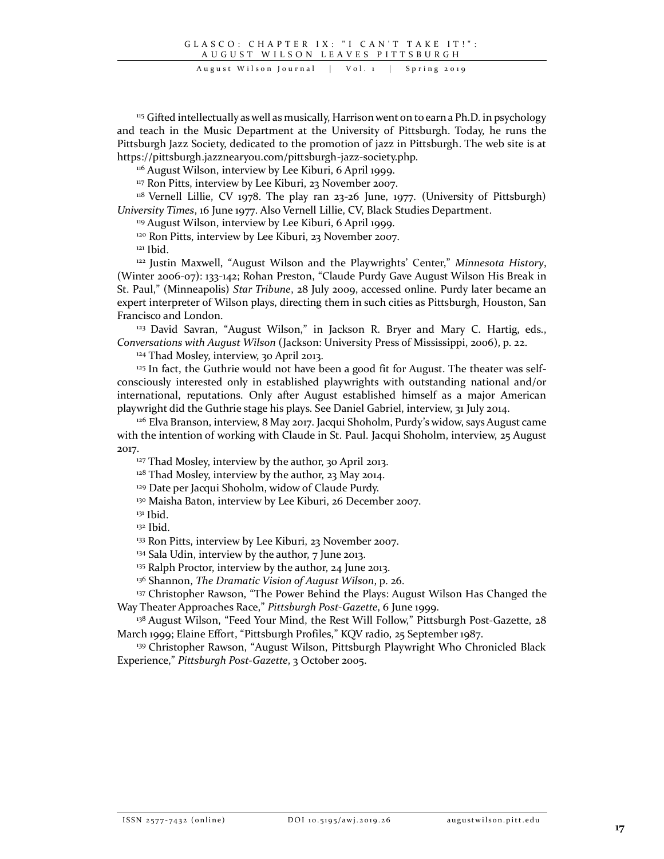August Wilson Journal | Vol. 1 | Spring 2019

<sup>115</sup> Gifted intellectually as well as musically, Harrison went on to earn a Ph.D. in psychology and teach in the Music Department at the University of Pittsburgh. Today, he runs the Pittsburgh Jazz Society, dedicated to the promotion of jazz in Pittsburgh. The web site is at https://pittsburgh.jazznearyou.com/pittsburgh-jazz-society.php.

<sup>116</sup> August Wilson, interview by Lee Kiburi, 6 April 1999.

<sup>117</sup> Ron Pitts, interview by Lee Kiburi, 23 November 2007.

<sup>118</sup> Vernell Lillie, CV 1978. The play ran 23-26 June, 1977. (University of Pittsburgh) *University Times*, 16 June 1977. Also Vernell Lillie, CV, Black Studies Department.

<sup>119</sup> August Wilson, interview by Lee Kiburi, 6 April 1999.

<sup>120</sup> Ron Pitts, interview by Lee Kiburi, 23 November 2007.

 $121$  Ibid.

122 Justin Maxwell, "August Wilson and the Playwrights' Center," *Minnesota History*, (Winter 2006-07): 133-142; Rohan Preston, "Claude Purdy Gave August Wilson His Break in St. Paul," (Minneapolis) *Star Tribune*, 28 July 2009, accessed online. Purdy later became an expert interpreter of Wilson plays, directing them in such cities as Pittsburgh, Houston, San Francisco and London.

<sup>123</sup> David Savran, "August Wilson," in Jackson R. Bryer and Mary C. Hartig, eds., *Conversations with August Wilson* (Jackson: University Press of Mississippi, 2006), p. 22.

<sup>124</sup> Thad Mosley, interview, 30 April 2013.

 $125$  In fact, the Guthrie would not have been a good fit for August. The theater was selfconsciously interested only in established playwrights with outstanding national and/or international, reputations. Only after August established himself as a major American playwright did the Guthrie stage his plays. See Daniel Gabriel, interview, 31 July 2014.

<sup>126</sup> Elva Branson, interview, 8 May 2017. Jacqui Shoholm, Purdy's widow, says August came with the intention of working with Claude in St. Paul. Jacqui Shoholm, interview, 25 August 2017.

<sup>127</sup> Thad Mosley, interview by the author, 30 April 2013.

<sup>128</sup> Thad Mosley, interview by the author, 23 May 2014.

<sup>129</sup> Date per Jacqui Shoholm, widow of Claude Purdy.

130 Maisha Baton, interview by Lee Kiburi, 26 December 2007.

<sup>131</sup> Ibid.

<sup>132</sup> Ibid.

<sup>133</sup> Ron Pitts, interview by Lee Kiburi, 23 November 2007.

<sup>134</sup> Sala Udin, interview by the author, 7 June 2013.

<sup>135</sup> Ralph Proctor, interview by the author, 24 June 2013.

<sup>136</sup> Shannon, *The Dramatic Vision of August Wilson*, p. 26.

<sup>137</sup> Christopher Rawson, "The Power Behind the Plays: August Wilson Has Changed the Way Theater Approaches Race," *Pittsburgh Post-Gazette*, 6 June 1999.

<sup>138</sup> August Wilson, "Feed Your Mind, the Rest Will Follow," Pittsburgh Post-Gazette, 28 March 1999; Elaine Effort, "Pittsburgh Profiles," KQV radio, 25 September 1987.

<sup>139</sup> Christopher Rawson, "August Wilson, Pittsburgh Playwright Who Chronicled Black Experience," *Pittsburgh Post-Gazette*, 3 October 2005.